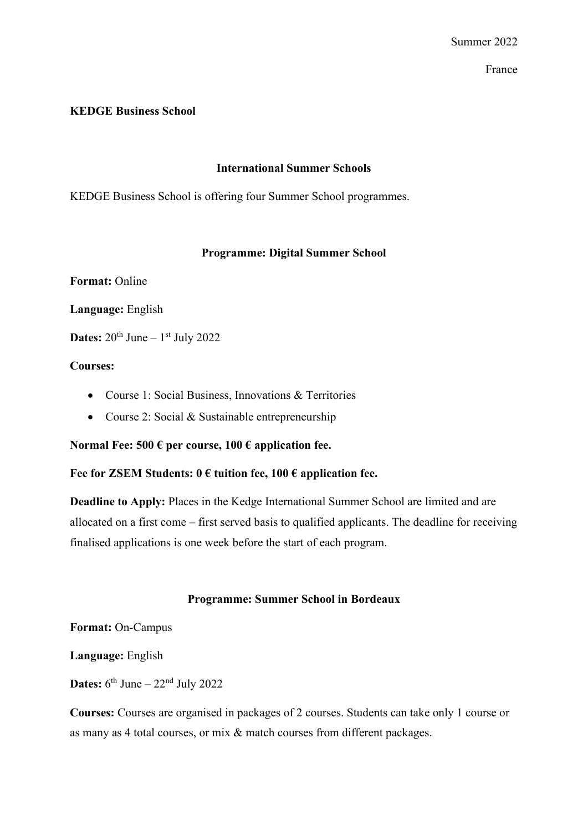### **KEDGE Business School**

## **International Summer Schools**

KEDGE Business School is offering four Summer School programmes.

### **Programme: Digital Summer School**

**Format:** Online

**Language:** English

**Dates:**  $20^{th}$  June –  $1^{st}$  July 2022

### **Courses:**

- Course 1: Social Business, Innovations & Territories
- Course 2: Social & Sustainable entrepreneurship

**Normal Fee: 500 € per course, 100 € application fee.**

# **Fee for ZSEM Students: 0 € tuition fee, 100 € application fee.**

**Deadline to Apply:** Places in the Kedge International Summer School are limited and are allocated on a first come – first served basis to qualified applicants. The deadline for receiving finalised applications is one week before the start of each program.

#### **Programme: Summer School in Bordeaux**

**Format:** On-Campus

**Language:** English

**Dates:**  $6^{th}$  June –  $22^{nd}$  July 2022

**Courses:** Courses are organised in packages of 2 courses. Students can take only 1 course or as many as 4 total courses, or mix & match courses from different packages.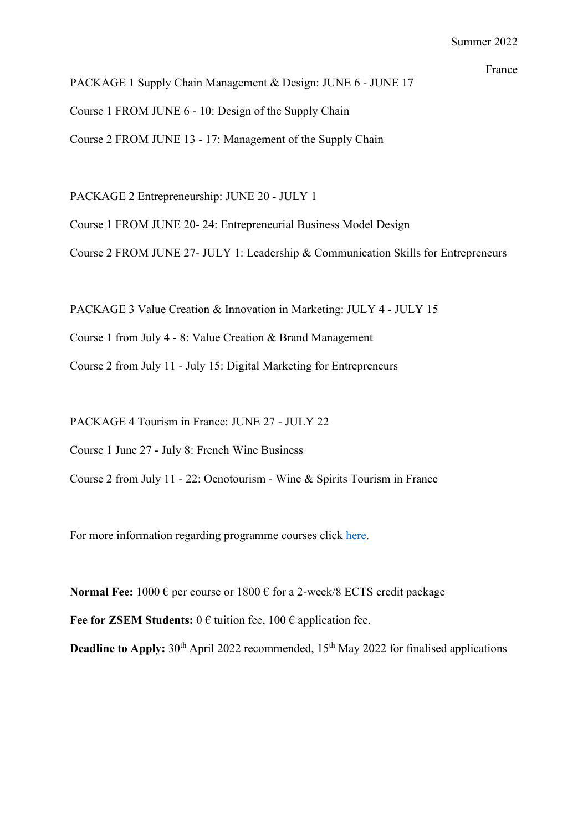PACKAGE 1 Supply Chain Management & Design: JUNE 6 - JUNE 17 Course 1 FROM JUNE 6 - 10: Design of the Supply Chain Course 2 FROM JUNE 13 - 17: Management of the Supply Chain

PACKAGE 2 Entrepreneurship: JUNE 20 - JULY 1

Course 1 FROM JUNE 20- 24: Entrepreneurial Business Model Design

Course 2 FROM JUNE 27- JULY 1: Leadership & Communication Skills for Entrepreneurs

PACKAGE 3 Value Creation & Innovation in Marketing: JULY 4 - JULY 15

Course 1 from July 4 - 8: Value Creation & Brand Management

Course 2 from July 11 - July 15: Digital Marketing for Entrepreneurs

PACKAGE 4 Tourism in France: JUNE 27 - JULY 22

Course 1 June 27 - July 8: French Wine Business

Course 2 from July 11 - 22: Oenotourism - Wine & Spirits Tourism in France

For more information regarding programme courses click [here.](https://student.kedge.edu/programmes/summer-schools/summer-schools-bordeaux/programmes)

**Normal Fee:** 1000 € per course or 1800 € for a 2-week/8 ECTS credit package

**Fee for ZSEM Students:**  $0 \in$  tuition fee,  $100 \in$  application fee.

**Deadline to Apply:** 30<sup>th</sup> April 2022 recommended, 15<sup>th</sup> May 2022 for finalised applications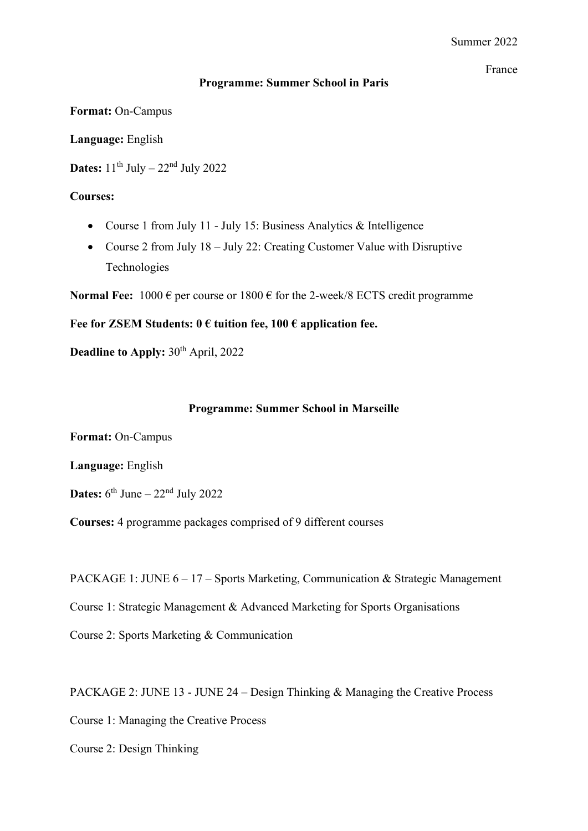## **Programme: Summer School in Paris**

**Format:** On-Campus

**Language:** English

**Dates:**  $11^{\text{th}}$  July  $-22^{\text{nd}}$  July 2022

## **Courses:**

- Course 1 from July 11 July 15: Business Analytics & Intelligence
- Course 2 from July 18 July 22: Creating Customer Value with Disruptive Technologies

**Normal Fee:**  $1000 \in \text{per course or } 1800 \in \text{for the } 2\text{-week/8 ECTS credit programme}$ 

### **Fee for ZSEM Students: 0 € tuition fee, 100 € application fee.**

**Deadline to Apply:** 30<sup>th</sup> April, 2022

#### **Programme: Summer School in Marseille**

**Format:** On-Campus

**Language:** English

**Dates:**  $6^{th}$  June –  $22^{nd}$  July 2022

**Courses:** 4 programme packages comprised of 9 different courses

PACKAGE 1: JUNE 6 – 17 – Sports Marketing, Communication & Strategic Management

Course 1: Strategic Management & Advanced Marketing for Sports Organisations

Course 2: Sports Marketing & Communication

PACKAGE 2: JUNE 13 - JUNE 24 – Design Thinking & Managing the Creative Process

Course 1: Managing the Creative Process

Course 2: Design Thinking